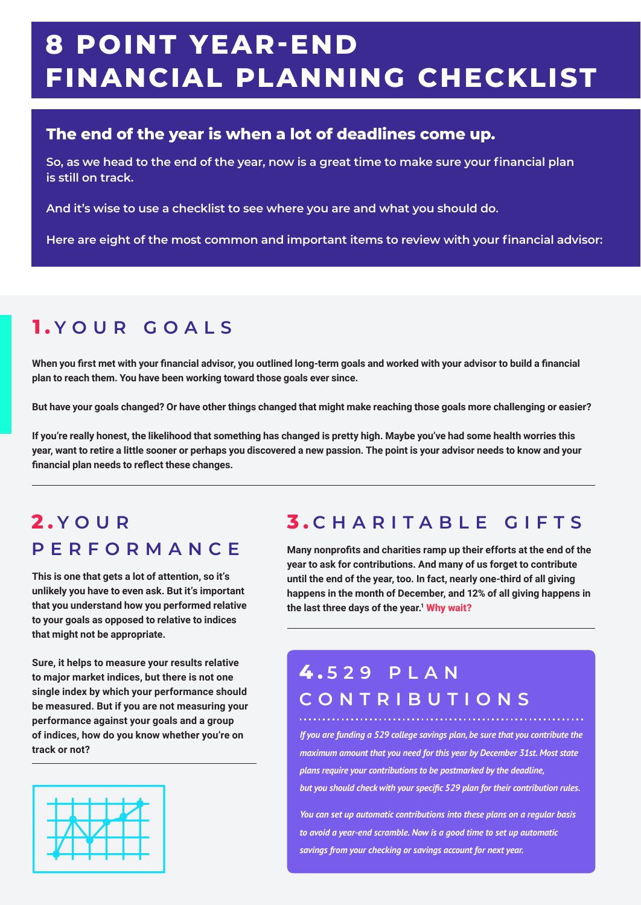# **8 POINT YEAR-END FINANCIAL PLANNING CHECKLIST**

#### **The end of the year is when a lot of deadlines come up.**

**So, as we head to the end of the year, now is a great time to make sure your financial plan is still on track.**

**And it's wise to use a checklist to see where you are and what you should do.**

**Here are eight of the most common and important items to review with your financial advisor:**

# **1 . YOUR GOALS**

**When you first met with your financial advisor, you outlined long-term goals and worked with your advisor to build a financial plan to reach them. You have been working toward those goals ever since.**

**But have your goals changed? Or have other things changed that might make reaching those goals more challenging or easier?**

**If you're really honest, the likelihood that something has changed is pretty high. Maybe you've had some health worries this year, want to retire a little sooner or perhaps you discovered a new passion. The point is your advisor needs to know and your financial plan needs to reflect these changes.**

# **2 . YOUR PERFORMANCE**

**This is one that gets a lot of attention, so it's unlikely you have to even ask. But it's important that you understand how you performed relative to your goals as opposed to relative to indices that might not be appropriate.**

**Sure, it helps to measure your results relative to major market indices, but there is not one single index by which your performance should be measured. But if you are not measuring your performance against your goals and a group of indices, how do you know whether you're on track or not?**



# **3 . CHARITABLE GIFTS**

**Many nonprofits and charities ramp up their efforts at the end of the year to ask for contributions. And many of us forget to contribute until the end of the year, too. In fact, nearly one-third of all giving happens in the month of December, and 12% of all giving happens in**  the last three days of the year.<sup>1</sup> Why wait?

### **4 . 529 PLAN CONTRIBUTIONS**

*If you are funding a 529 college savings plan, be sure that you contribute the maximum amount that you need for this year by December 31st. Most state plans require your contributions to be postmarked by the deadline, but you should check with your specific 529 plan for their contribution rules.*

*You can set up automatic contributions into these plans on a regular basis to avoid a year-end scramble. Now is a good time to set up automatic savings from your checking or savings account for next year.*